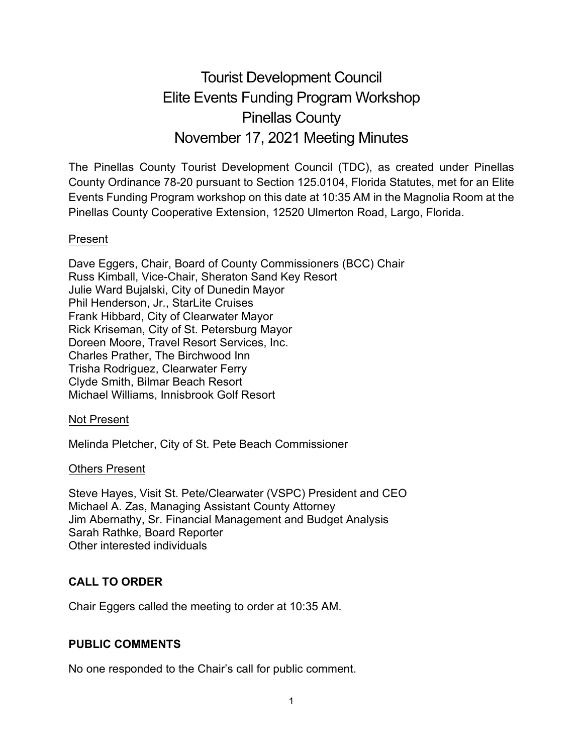# Tourist Development Council Elite Events Funding Program Workshop Pinellas County November 17, 2021 Meeting Minutes

The Pinellas County Tourist Development Council (TDC), as created under Pinellas County Ordinance 78-20 pursuant to Section 125.0104, Florida Statutes, met for an Elite Events Funding Program workshop on this date at 10:35 AM in the Magnolia Room at the Pinellas County Cooperative Extension, 12520 Ulmerton Road, Largo, Florida.

#### Present

Dave Eggers, Chair, Board of County Commissioners (BCC) Chair Russ Kimball, Vice-Chair, Sheraton Sand Key Resort Julie Ward Bujalski, City of Dunedin Mayor Phil Henderson, Jr., StarLite Cruises Frank Hibbard, City of Clearwater Mayor Rick Kriseman, City of St. Petersburg Mayor Doreen Moore, Travel Resort Services, Inc. Charles Prather, The Birchwood Inn Trisha Rodriguez, Clearwater Ferry Clyde Smith, Bilmar Beach Resort Michael Williams, Innisbrook Golf Resort

#### Not Present

Melinda Pletcher, City of St. Pete Beach Commissioner

#### Others Present

Steve Hayes, Visit St. Pete/Clearwater (VSPC) President and CEO Michael A. Zas, Managing Assistant County Attorney Jim Abernathy, Sr. Financial Management and Budget Analysis Sarah Rathke, Board Reporter Other interested individuals

## **CALL TO ORDER**

Chair Eggers called the meeting to order at 10:35 AM.

## **PUBLIC COMMENTS**

No one responded to the Chair's call for public comment.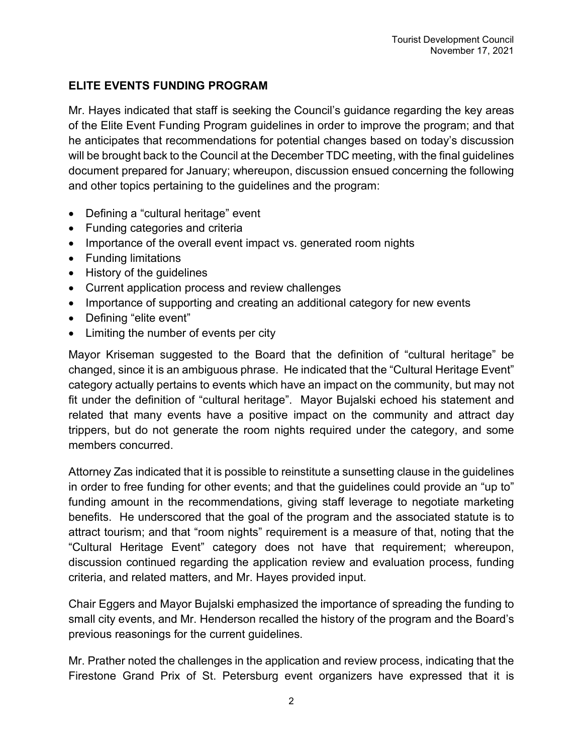## **ELITE EVENTS FUNDING PROGRAM**

Mr. Hayes indicated that staff is seeking the Council's guidance regarding the key areas of the Elite Event Funding Program guidelines in order to improve the program; and that he anticipates that recommendations for potential changes based on today's discussion will be brought back to the Council at the December TDC meeting, with the final guidelines document prepared for January; whereupon, discussion ensued concerning the following and other topics pertaining to the guidelines and the program:

- Defining a "cultural heritage" event
- Funding categories and criteria
- Importance of the overall event impact vs. generated room nights
- Funding limitations
- History of the guidelines
- Current application process and review challenges
- Importance of supporting and creating an additional category for new events
- Defining "elite event"
- Limiting the number of events per city

Mayor Kriseman suggested to the Board that the definition of "cultural heritage" be changed, since it is an ambiguous phrase. He indicated that the "Cultural Heritage Event" category actually pertains to events which have an impact on the community, but may not fit under the definition of "cultural heritage". Mayor Bujalski echoed his statement and related that many events have a positive impact on the community and attract day trippers, but do not generate the room nights required under the category, and some members concurred.

Attorney Zas indicated that it is possible to reinstitute a sunsetting clause in the guidelines in order to free funding for other events; and that the guidelines could provide an "up to" funding amount in the recommendations, giving staff leverage to negotiate marketing benefits. He underscored that the goal of the program and the associated statute is to attract tourism; and that "room nights" requirement is a measure of that, noting that the "Cultural Heritage Event" category does not have that requirement; whereupon, discussion continued regarding the application review and evaluation process, funding criteria, and related matters, and Mr. Hayes provided input.

Chair Eggers and Mayor Bujalski emphasized the importance of spreading the funding to small city events, and Mr. Henderson recalled the history of the program and the Board's previous reasonings for the current guidelines.

Mr. Prather noted the challenges in the application and review process, indicating that the Firestone Grand Prix of St. Petersburg event organizers have expressed that it is